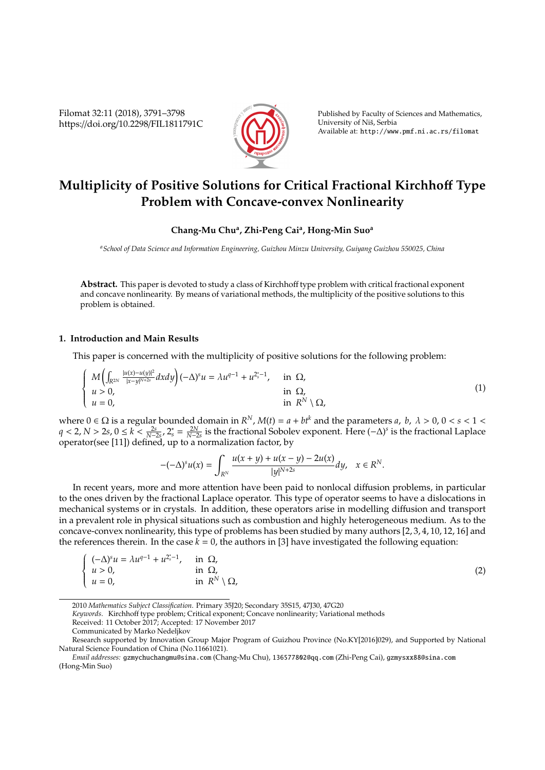Filomat 32:11 (2018), 3791–3798 https://doi.org/10.2298/FIL1811791C



Published by Faculty of Sciences and Mathematics, University of Niš, Serbia Available at: http://www.pmf.ni.ac.rs/filomat

# **Multiplicity of Positive Solutions for Critical Fractional Kirchho**ff **Type Problem with Concave-convex Nonlinearity**

## **Chang-Mu Chu<sup>a</sup> , Zhi-Peng Cai<sup>a</sup> , Hong-Min Suo<sup>a</sup>**

*<sup>a</sup>School of Data Science and Information Engineering, Guizhou Minzu University, Guiyang Guizhou 550025, China*

**Abstract.** This paper is devoted to study a class of Kirchhoff type problem with critical fractional exponent and concave nonlinearity. By means of variational methods, the multiplicity of the positive solutions to this problem is obtained.

### **1. Introduction and Main Results**

This paper is concerned with the multiplicity of positive solutions for the following problem:

$$
\begin{cases}\nM\left(\int_{\mathbb{R}^{2N}}\frac{|u(x)-u(y)|^2}{|x-y|^{N+2s}}dxdy\right)(-\Delta)^su = \lambda u^{q-1} + u^{2s-1}, & \text{in } \Omega, \\
u > 0, & \text{in } \Omega, \\
u = 0, & \text{in } \mathbb{R}^N \setminus \Omega,\n\end{cases}
$$
\n(1)

where  $0 \in \Omega$  is a regular bounded domain in  $R^N$ ,  $M(t) = a + bt^k$  and the parameters *a*, *b*,  $\lambda > 0$ ,  $0 < s < 1 <$ *q* < 2, *N* > 2*s*, 0 ≤ *k* <  $\frac{2s}{N-2s}$ , 2<sup>\*</sup><sub>*s*</sub> =  $\frac{2N}{N-2s}$  is the fractional Sobolev exponent. Here  $(-\Delta)^s$  is the fractional Laplace operator(see [11]) defined, up to a normalization factor, by

$$
-(-\Delta)^s u(x) = \int_{R^N} \frac{u(x+y) + u(x-y) - 2u(x)}{|y|^{N+2s}} dy, \quad x \in R^N.
$$

In recent years, more and more attention have been paid to nonlocal diffusion problems, in particular to the ones driven by the fractional Laplace operator. This type of operator seems to have a dislocations in mechanical systems or in crystals. In addition, these operators arise in modelling diffusion and transport in a prevalent role in physical situations such as combustion and highly heterogeneous medium. As to the concave-convex nonlinearity, this type of problems has been studied by many authors [2, 3, 4, 10, 12, 16] and the references therein. In the case  $k = 0$ , the authors in [3] have investigated the following equation:

$$
\begin{cases}\n(-\Delta)^s u = \lambda u^{q-1} + u^{2_s^*-1}, & \text{in } \Omega, \\
u > 0, & \text{in } \Omega, \\
u = 0, & \text{in } R^N \setminus \Omega,\n\end{cases}
$$
\n(2)

*Keywords*. Kirchhoff type problem; Critical exponent; Concave nonlinearity; Variational methods

<sup>2010</sup> *Mathematics Subject Classification*. Primary 35J20; Secondary 35S15, 47J30, 47G20

Received: 11 October 2017; Accepted: 17 November 2017

Communicated by Marko Nedeljkov

Research supported by Innovation Group Major Program of Guizhou Province (No.KY[2016]029), and Supported by National Natural Science Foundation of China (No.11661021).

*Email addresses:* gzmychuchangmu@sina.com (Chang-Mu Chu), 136577802@qq.com (Zhi-Peng Cai), gzmysxx88@sina.com (Hong-Min Suo)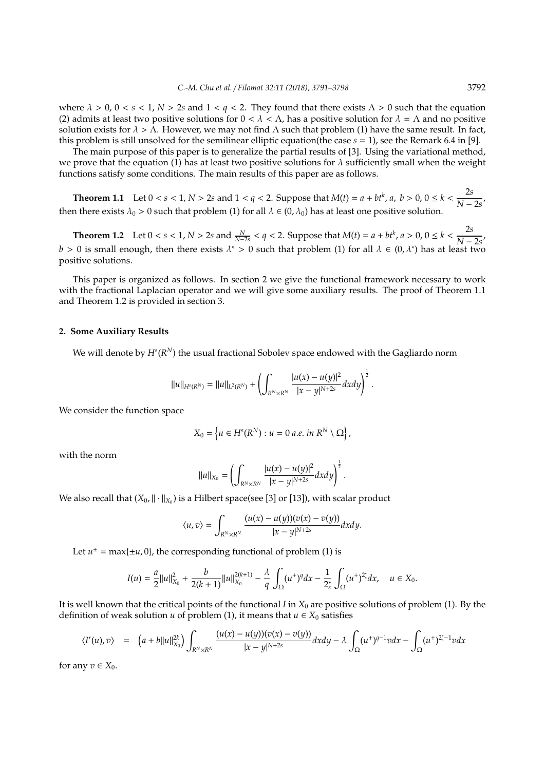where  $\lambda > 0$ ,  $0 < s < 1$ ,  $N > 2s$  and  $1 < q < 2$ . They found that there exists  $\Lambda > 0$  such that the equation (2) admits at least two positive solutions for  $0 < \lambda < \Lambda$ , has a positive solution for  $\lambda = \Lambda$  and no positive solution exists for  $\lambda > \Lambda$ . However, we may not find  $\Lambda$  such that problem (1) have the same result. In fact, this problem is still unsolved for the semilinear elliptic equation(the case *s* = 1), see the Remark 6.4 in [9].

The main purpose of this paper is to generalize the partial results of [3]. Using the variational method, we prove that the equation (1) has at least two positive solutions for  $\lambda$  sufficiently small when the weight functions satisfy some conditions. The main results of this paper are as follows.

**Theorem 1.1** Let  $0 < s < 1$ ,  $N > 2s$  and  $1 < q < 2$ . Suppose that  $M(t) = a + bt^k$ ,  $a, b > 0$ ,  $0 \le k < \frac{2s}{N}$  $\frac{1}{N-2s}$ then there exists  $\lambda_0 > 0$  such that problem (1) for all  $\lambda \in (0, \lambda_0)$  has at least one positive solution.

**Theorem 1.2** Let  $0 < s < 1$ ,  $N > 2s$  and  $\frac{N}{N-2s} < q < 2$ . Suppose that  $M(t) = a + bt^k$ ,  $a > 0$ ,  $0 \le k < \frac{2s}{N-2s}$  $\frac{1}{N-2s}$ *b* > 0 is small enough, then there exists  $\lambda^*$  > 0 such that problem (1) for all  $\lambda \in (0, \lambda^*)$  has at least two positive solutions.

This paper is organized as follows. In section 2 we give the functional framework necessary to work with the fractional Laplacian operator and we will give some auxiliary results. The proof of Theorem 1.1 and Theorem 1.2 is provided in section 3.

### **2. Some Auxiliary Results**

We will denote by  $H^s(R^N)$  the usual fractional Sobolev space endowed with the Gagliardo norm

$$
||u||_{H^{s}(R^N)} = ||u||_{L^{2}(R^N)} + \left(\int_{R^N \times R^N} \frac{|u(x) - u(y)|^2}{|x - y|^{N+2s}} dxdy\right)^{\frac{1}{2}}.
$$

We consider the function space

$$
X_0 = \left\{ u \in H^s(R^N) : u = 0 \text{ a.e. in } R^N \setminus \Omega \right\},\
$$

with the norm

$$
||u||_{X_0} = \left(\int_{R^N \times R^N} \frac{|u(x) - u(y)|^2}{|x - y|^{N+2s}} dxdy\right)^{\frac{1}{2}}.
$$

We also recall that  $(X_0, \|\cdot\|_{X_0})$  is a Hilbert space(see [3] or [13]), with scalar product

$$
\langle u,v\rangle=\int_{R^N\times R^N}\frac{(u(x)-u(y))(v(x)-v(y))}{|x-y|^{N+2s}}dxdy.
$$

Let  $u^{\pm} = \max{\pm u, 0}$ , the corresponding functional of problem (1) is

$$
I(u) = \frac{a}{2}||u||_{X_0}^2 + \frac{b}{2(k+1)}||u||_{X_0}^{2(k+1)} - \frac{\lambda}{q} \int_{\Omega} (u^+)^q dx - \frac{1}{2_s^*} \int_{\Omega} (u^+)^{2_s^*} dx, \quad u \in X_0.
$$

It is well known that the critical points of the functional *I* in *X*<sup>0</sup> are positive solutions of problem (1). By the definition of weak solution *u* of problem (1), it means that  $u \in X_0$  satisfies

$$
\langle I'(u),v\rangle = \left(a + b||u||_{X_0}^{2k}\right)\int_{R^N\times R^N} \frac{(u(x)-u(y))(v(x)-v(y))}{|x-y|^{N+2s}}dxdy - \lambda \int_{\Omega} (u^+)^{q-1}v dx - \int_{\Omega} (u^+)^{2_s^*-1}v dx
$$

for any  $v \in X_0$ .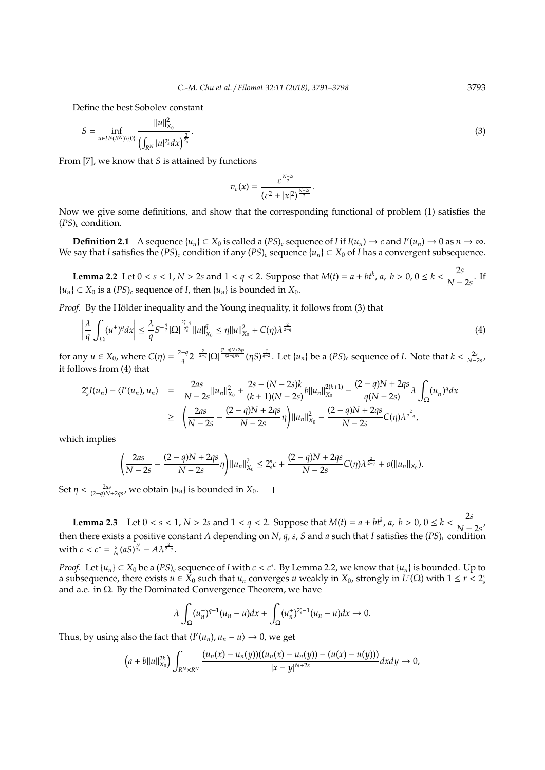Define the best Sobolev constant

$$
S = \inf_{u \in H^{s}(R^{N}) \setminus \{0\}} \frac{||u||_{X_{0}}^{2}}{\left(\int_{R^{N}} |u|^{2_{s}^{*}} dx\right)^{\frac{2}{2_{s}^{*}}}}.
$$
\n(3)

From [7], we know that *S* is attained by functions

$$
v_{\varepsilon}(x)=\frac{\varepsilon^{\frac{N-2s}{2}}}{(\varepsilon^2+|x|^2)^{\frac{N-2s}{2}}}.
$$

Now we give some definitions, and show that the corresponding functional of problem (1) satisfies the (*PS*)*<sup>c</sup>* condition.

**Definition 2.1** A sequence  $\{u_n\} \subset X_0$  is called a  $(PS)_c$  sequence of *I* if  $I(u_n) \to c$  and  $I'(u_n) \to 0$  as  $n \to \infty$ . We say that *I* satisfies the  $(PS)_c$  condition if any  $(PS)_c$  sequence  $\{u_n\} \subset X_0$  of *I* has a convergent subsequence.

**Lemma 2.2** Let  $0 < s < 1$ ,  $N > 2s$  and  $1 < q < 2$ . Suppose that  $M(t) = a + bt^k$ ,  $a, b > 0$ ,  $0 \le k < \frac{2s^k}{N!}$  $\frac{1}{N-2s}$ . If  ${u_n}$  ⊂ *X*<sup>0</sup> is a (*PS*)*c* sequence of *I*, then  ${u_n}$  is bounded in *X*<sup>0</sup>.

*Proof.* By the Hölder inequality and the Young inequality, it follows from (3) that

$$
\left|\frac{\lambda}{q}\int_{\Omega}(u^{+})^{q}dx\right|\leq\frac{\lambda}{q}S^{-\frac{q}{2}}|\Omega|^{\frac{2^{*}_{s}-q}{2^{*}_{s}}}\|u\|_{X_{0}}^{q}\leq\eta\|u\|_{X_{0}}^{2}+C(\eta)\lambda^{\frac{2}{2-q}}\tag{4}
$$

for any  $u \in X_0$ , where  $C(\eta) = \frac{2-q}{a}$  $\frac{-q}{q}2^{-\frac{2}{2-q}}|\Omega|^{\frac{(2-q)N+2qs}{(2-q)N}}(\eta S)^{\frac{q}{q-2}}.$  Let  $\{u_n\}$  be a  $(PS)_c$  sequence of *I*. Note that  $k<\frac{2s}{N-2s}$ , it follows from (4) that

$$
2^{*}_{s}I(u_{n}) - \langle I'(u_{n}), u_{n} \rangle = \frac{2as}{N-2s}||u_{n}||^{2}_{X_{0}} + \frac{2s - (N-2s)k}{(k+1)(N-2s)}b||u_{n}||^{2(k+1)}_{X_{0}} - \frac{(2-q)N + 2qs}{q(N-2s)}\lambda \int_{\Omega} (u_{n}^{+})^{q}dx
$$
  

$$
\geq \left(\frac{2as}{N-2s} - \frac{(2-q)N + 2qs}{N-2s}\eta\right)||u_{n}||^{2}_{X_{0}} - \frac{(2-q)N + 2qs}{N-2s}C(\eta)\lambda^{\frac{2}{2-q}},
$$

which implies

$$
\left(\frac{2as}{N-2s}-\frac{(2-q)N+2qs}{N-2s}\eta\right)||u_n||_{X_0}^2\leq 2_s^*c+\frac{(2-q)N+2qs}{N-2s}C(\eta)\lambda^{\frac{2}{2-q}}+o(||u_n||_{X_0}).
$$

Set  $\eta < \frac{2as}{(2-q)N+2qs}$ , we obtain  $\{u_n\}$  is bounded in  $X_0$ .

**Lemma 2.3** Let  $0 < s < 1$ ,  $N > 2s$  and  $1 < q < 2$ . Suppose that  $M(t) = a + bt^k$ ,  $a, b > 0$ ,  $0 \le k < \frac{2s^k}{N}$  $\frac{1}{N-2s}$ then there exists a positive constant *A* depending on *N*, *q*, *s*, *S* and *a* such that *I* satisfies the  $(PS)_c$  condition with  $c < c^* = \frac{s}{N}(aS)^{\frac{N}{2s}} - A\lambda^{\frac{2}{2-q}}$ .

*Proof.* Let  $\{u_n\} \subset X_0$  be a  $(PS)_c$  sequence of *I* with  $c < c^*$ . By Lemma 2.2, we know that  $\{u_n\}$  is bounded. Up to a subsequence, there exists  $u \in X_0$  such that  $u_n$  converges  $u$  weakly in  $X_0$ , strongly in  $L^r(\Omega)$  with  $1 \le r < 2$ ; and a.e. in  $\Omega$ . By the Dominated Convergence Theorem, we have

$$
\lambda \int_{\Omega} (u_n^+)^{q-1} (u_n - u) dx + \int_{\Omega} (u_n^+)^{2_s^*-1} (u_n - u) dx \to 0.
$$

Thus, by using also the fact that  $\langle I'(u_n), u_n - u \rangle \to 0$ , we get

$$
(a+b||u||_{X_0}^{2k})\int_{R^N\times R^N}\frac{(u_n(x)-u_n(y))((u_n(x)-u_n(y))-(u(x)-u(y)))}{|x-y|^{N+2s}}dxdy\to 0,
$$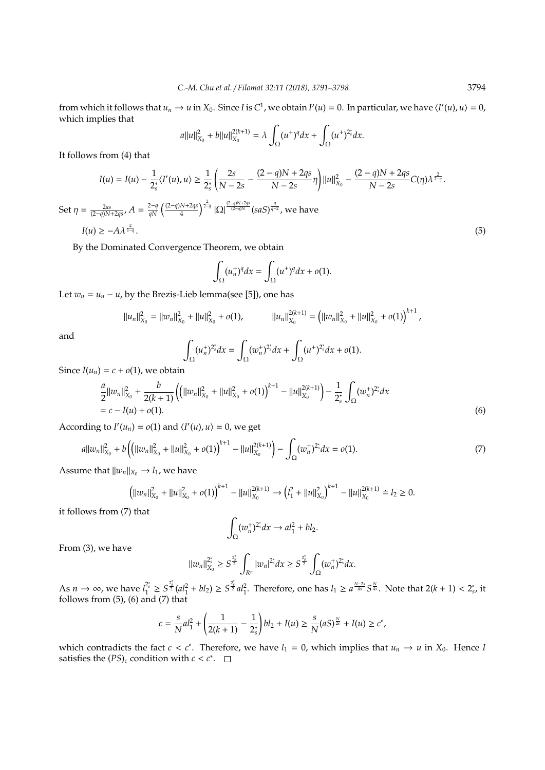from which it follows that  $u_n \to u$  in  $X_0$ . Since *I* is  $C^1$ , we obtain  $I'(u) = 0$ . In particular, we have  $\langle I'(u), u \rangle = 0$ , which implies that

$$
a||u||_{X_0}^2 + b||u||_{X_0}^{2(k+1)} = \lambda \int_{\Omega} (u^+)^q dx + \int_{\Omega} (u^+)^{2^*_s} dx.
$$

It follows from (4) that

$$
I(u) = I(u) - \frac{1}{2_s^*} \langle I'(u), u \rangle \ge \frac{1}{2_s^*} \left( \frac{2s}{N - 2s} - \frac{(2 - q)N + 2qs}{N - 2s} \eta \right) ||u||_{X_0}^2 - \frac{(2 - q)N + 2qs}{N - 2s} C(\eta) \lambda^{\frac{2}{2 - q}}.
$$
  
Set  $\eta = \frac{2as}{(2 - q)N + 2qs}$ ,  $A = \frac{2 - q}{qN} \left( \frac{(2 - q)N + 2qs}{4} \right)^{\frac{2}{2 - q}} |\Omega|^{\frac{(2 - q)N + 2qs}{(2 - q)N}} (saS)^{\frac{q}{q - 2}},$  we have  
 $I(u) \ge -A\lambda^{\frac{2}{1 - q}}.$  (5)

By the Dominated Convergence Theorem, we obtain

$$
\int_{\Omega} (u_n^+)^q dx = \int_{\Omega} (u^+)^q dx + o(1).
$$

Let  $w_n = u_n - u$ , by the Brezis-Lieb lemma(see [5]), one has

$$
||u_n||_{X_0}^2 = ||w_n||_{X_0}^2 + ||u||_{X_0}^2 + o(1), \qquad ||u_n||_{X_0}^{2(k+1)} = (||w_n||_{X_0}^2 + ||u||_{X_0}^2 + o(1))^{k+1},
$$

and

$$
\int_{\Omega} (u_n^+)^{2_s^*} dx = \int_{\Omega} (w_n^+)^{2_s^*} dx + \int_{\Omega} (u^+)^{2_s^*} dx + o(1).
$$

Since  $I(u_n) = c + o(1)$ , we obtain

$$
\frac{a}{2}||w_n||_{X_0}^2 + \frac{b}{2(k+1)}\left(\left(||w_n||_{X_0}^2 + ||u||_{X_0}^2 + o(1)\right)^{k+1} - ||u||_{X_0}^{2(k+1)}\right) - \frac{1}{2_s^*} \int_{\Omega} (w_n^+)^{2_s^*} dx
$$
\n
$$
= c - I(u) + o(1).
$$
\n(6)

According to  $I'(u_n) = o(1)$  and  $\langle I'(u), u \rangle = 0$ , we get

$$
a||w_n||_{X_0}^2 + b\left(\left(||w_n||_{X_0}^2 + ||u||_{X_0}^2 + o(1)\right)^{k+1} - ||u||_{X_0}^{2(k+1)}\right) - \int_{\Omega} (w_n^+)^{2_s^*} dx = o(1).
$$
\n(7)

Assume that  $||w_n||_{X_0} \to l_1$ , we have

$$
\left(||w_n||_{X_0}^2 + ||u||_{X_0}^2 + o(1)\right)^{k+1} - ||u||_{X_0}^{2(k+1)} \to \left(l_1^2 + ||u||_{X_0}^2\right)^{k+1} - ||u||_{X_0}^{2(k+1)} \doteq l_2 \ge 0.
$$

it follows from (7) that

$$
\int_{\Omega} (w_n^+)^{2_s^*} dx \to a l_1^2 + b l_2.
$$

From (3), we have

$$
||w_n||_{X_0}^{2^*} \ge S^{\frac{2^*}{2}} \int_{R^n} |w_n|^{2^*} dx \ge S^{\frac{2^*}{2}} \int_{\Omega} (w_n^+)^{2^*} dx.
$$

As  $n \to \infty$ , we have  $l_1^{2_s^*} \geq S_2^{2_s^*} (al_1^2 + bl_2) \geq S_2^{2_s^*} al_1^2$ . Therefore, one has  $l_1 \geq a^{\frac{N-2s}{4s}} S_{4s}^{\frac{N}{4s}}$ . Note that  $2(k+1) < 2_s^*$ , it follows from (5), (6) and (7) that

$$
c = \frac{s}{N}al_1^2 + \left(\frac{1}{2(k+1)} - \frac{1}{2_s^*}\right)bl_2 + I(u) \ge \frac{s}{N}(aS)^{\frac{N}{2s}} + I(u) \ge c^*,
$$

which contradicts the fact  $c < c^*$ . Therefore, we have  $l_1 = 0$ , which implies that  $u_n \to u$  in  $X_0$ . Hence *l* satisfies the  $(PS)_c$  condition with  $c < c^*$ .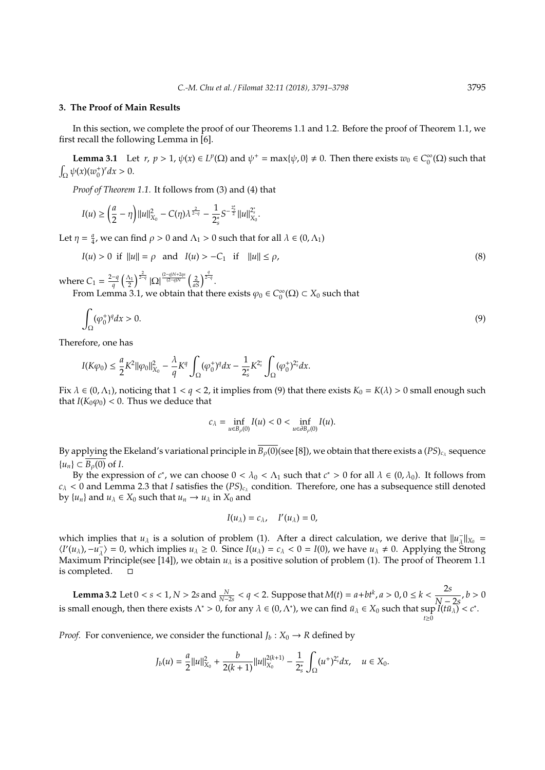#### **3. The Proof of Main Results**

In this section, we complete the proof of our Theorems 1.1 and 1.2. Before the proof of Theorem 1.1, we first recall the following Lemma in [6].

**Lemma 3.1** Let  $r, p > 1$ ,  $\psi(x) \in L^p(\Omega)$  and  $\psi^+ = \max{\{\psi, 0\}} \neq 0$ . Then there exists  $w_0 \in C_0^{\infty}$  $\int_0^\infty$ ( $\Omega$ ) such that  $\int_{\Omega} \psi(x) (w_0^+)^r dx > 0.$ 

*Proof of Theorem 1.1.* It follows from (3) and (4) that

$$
I(u) \geq \left(\frac{a}{2}-\eta\right)||u||_{X_0}^2 - C(\eta)\lambda^{\frac{2}{2-q}} - \frac{1}{2_s^*}S^{-\frac{2_s^*}{2}}||u||_{X_0}^{2_s^*}.
$$

Let  $\eta = \frac{a}{4}$ , we can find  $\rho > 0$  and  $\Lambda_1 > 0$  such that for all  $\lambda \in (0, \Lambda_1)$ 

$$
I(u) > 0 \text{ if } ||u|| = \rho \text{ and } I(u) > -C_1 \text{ if } ||u|| \le \rho,
$$
\n(8)

where  $C_1 = \frac{2-q}{a}$  $\frac{-q}{q} \left(\frac{\Lambda_1}{2}\right)^{\frac{2}{2-q}} |\Omega|^{\frac{(2-q)N+2qs}{(2-q)N}} \left(\frac{2}{aS}\right)^{\frac{q}{2-q}}.$ 

From Lemma 3.1, we obtain that there exists  $\varphi_0 \in C_0^{\infty}$  $\int_0^\infty$ ( $\Omega$ )  $\subset X_0$  such that

$$
\int_{\Omega} (\varphi_0^+)^q dx > 0. \tag{9}
$$

Therefore, one has

$$
I(K\varphi_0) \leq \frac{a}{2} K^2 ||\varphi_0||^2_{X_0} - \frac{\lambda}{q} K^q \int_{\Omega} (\varphi_0^+)^q dx - \frac{1}{2_s^*} K^{2_s^*} \int_{\Omega} (\varphi_0^+)^{2_s^*} dx.
$$

Fix  $\lambda \in (0, \Lambda_1)$ , noticing that  $1 < q < 2$ , it implies from (9) that there exists  $K_0 = K(\lambda) > 0$  small enough such that  $I(K_0\varphi_0)$  < 0. Thus we deduce that

$$
c_\lambda=\inf_{u\in B_\rho(0)}I(u)<0<\inf_{u\in \partial B_\rho(0)}I(u).
$$

By applying the Ekeland's variational principle in  $B_\rho(0)$ (see [8]), we obtain that there exists a (PS)<sub>c<sub>A</sub> sequence</sub>  ${u_n} \subset \overline{B_0(0)}$  of *I*.

By the expression of  $c^*$ , we can choose  $0 < \lambda_0 < \Lambda_1$  such that  $c^* > 0$  for all  $\lambda \in (0, \lambda_0)$ . It follows from  $c_{\lambda}$  < 0 and Lemma 2.3 that *I* satisfies the  $(PS)_{c_{\lambda}}$  condition. Therefore, one has a subsequence still denoted by  $\{u_n\}$  and  $u_\lambda \in X_0$  such that  $u_n \to u_\lambda$  in  $X_0$  and

$$
I(u_\lambda)=c_\lambda,\quad I'(u_\lambda)=0,
$$

which implies that *u*<sub> $\lambda$ </sub> is a solution of problem (1). After a direct calculation, we derive that  $||u_{\lambda}$  $\frac{1}{\lambda}$ || $X_0$  =  $\langle I'(u_\lambda), -u_\lambda \rangle$  $\frac{1}{\lambda}$  = 0, which implies  $u_{\lambda} \ge 0$ . Since  $I(u_{\lambda}) = c_{\lambda} < 0 = I(0)$ , we have  $u_{\lambda} \ne 0$ . Applying the Strong Maximum Principle(see [14]), we obtain  $u_\lambda$  is a positive solution of problem (1). The proof of Theorem 1.1 is completed.

**Lemma 3.2** Let 0 < *s* < 1, *N* > 2*s* and  $\frac{N}{N-2s}$  < *q* < 2. Suppose that *M*(*t*) = *a*+*bt<sup>k</sup>*, *a* > 0, 0 ≤ *k* <  $\frac{2s}{N-2s}$  $\frac{1}{N-2s}$ , *b* > 0 is small enough, then there exists  $\Lambda^* > 0$ , for any  $\lambda \in (0, \Lambda^*)$ , we can find  $\bar{u}_\lambda \in X_0$  such that  $\sup_{t \ge 0} I(t\bar{u}_\lambda) < c^*$ .

*Proof.* For convenience, we consider the functional  $J_b: X_0 \to R$  defined by

$$
J_b(u) = \frac{a}{2}||u||_{X_0}^2 + \frac{b}{2(k+1)}||u||_{X_0}^{2(k+1)} - \frac{1}{2_s^*} \int_{\Omega} (u^+)^{2_s^*} dx, \quad u \in X_0.
$$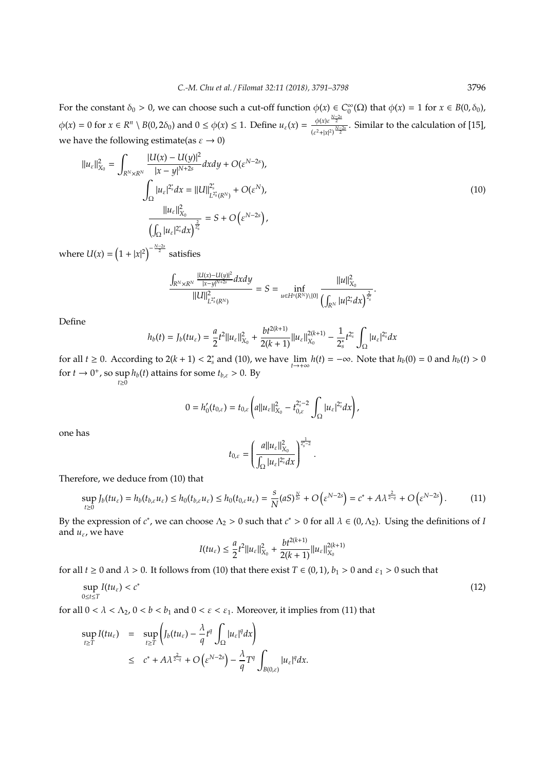For the constant  $\delta_0 > 0$ , we can choose such a cut-off function  $\phi(x) \in C_0^{\infty}(\Omega)$  that  $\phi(x) = 1$  for  $x \in B(0, \delta_0)$ ,  $\theta$  $\phi(x) = 0$  for  $x \in R^n \setminus B(0, 2\delta_0)$  and  $0 \le \phi(x) \le 1$ . Define  $u_{\varepsilon}(x) = \frac{\phi(x) \varepsilon^{\frac{N-2s}{2}}}{(x-\varepsilon)^{N-2s}}$  $\frac{\varphi(x)e^{-x}}{(e^2+|x|^2)^{\frac{N-2s}{2}}}$ . Similar to the calculation of [15], we have the following estimate(as  $\varepsilon \to 0$ )

$$
||u_{\varepsilon}||_{X_{0}}^{2} = \int_{R^{N} \times R^{N}} \frac{|U(x) - U(y)|^{2}}{|x - y|^{N+2s}} dx dy + O(\varepsilon^{N-2s}),
$$
  

$$
\int_{\Omega} |u_{\varepsilon}|^{2^{*}} dx = ||U||_{L^{2^{*}}(R^{N})}^{2^{*}} + O(\varepsilon^{N}),
$$
  

$$
\frac{||u_{\varepsilon}||_{X_{0}}^{2}}{\left(\int_{\Omega} |u_{\varepsilon}|^{2^{*}} dx\right)^{\frac{2}{2^{*}}}} = S + O(\varepsilon^{N-2s}),
$$
\n(10)

where  $U(x) = (1 + |x|^2)^{-\frac{N-2s}{2}}$  satisfies

$$
\frac{\int_{R^N\times R^N}\frac{|U(x)-U(y)|^2}{|x-y|^{N+2s}}dxdy}{\|U\|_{L^{2_s^*}(R^N)}^2}=S=\inf_{u\in H^s(R^N)\setminus\{0\}}\frac{\|u\|_{X_0}^2}{\left(\int_{R^N}|u|^{2_s^*}dx\right)^{\frac{2}{2_s^*}}}.
$$

Define

$$
h_b(t) = J_b(tu_{\varepsilon}) = \frac{a}{2}t^2||u_{\varepsilon}||_{X_0}^2 + \frac{bt^{2(k+1)}}{2(k+1)}||u_{\varepsilon}||_{X_0}^{2(k+1)} - \frac{1}{2_s^*}t^{2_s^*}\int_{\Omega}|u_{\varepsilon}|^{2_s^*}dx
$$

for all  $t \ge 0$ . According to  $2(k + 1) < 2_s^*$  and (10), we have  $\lim_{t \to +\infty} h(t) = -\infty$ . Note that  $h_b(0) = 0$  and  $h_b(t) > 0$ for  $t \to 0^+$ , so sup  $\sup h_b(t)$  attains for some  $t_{b,\varepsilon} > 0$ . By  $t_{\geq 0}$ 

$$
0 = h'_0(t_{0,\varepsilon}) = t_{0,\varepsilon} \left( a ||u_{\varepsilon}||_{X_0}^2 - t_{0,\varepsilon}^{2^*-2} \int_{\Omega} |u_{\varepsilon}|^{2^*} dx \right),
$$

one has

$$
t_{0,\varepsilon} = \left(\frac{a||u_{\varepsilon}||_{X_0}^2}{\int_{\Omega} |u_{\varepsilon}|^{2_s^*} dx}\right)^{\frac{1}{2_s^* - 2}}.
$$

Therefore, we deduce from (10) that

$$
\sup_{t\geq 0} J_b(tu_\varepsilon) = h_b(t_{b,\varepsilon}u_\varepsilon) \leq h_0(t_{b,\varepsilon}u_\varepsilon) \leq h_0(t_{0,\varepsilon}u_\varepsilon) = \frac{s}{N}(aS)^{\frac{N}{2s}} + O\left(\varepsilon^{N-2s}\right) = c^* + A\lambda^{\frac{2}{2-q}} + O\left(\varepsilon^{N-2s}\right). \tag{11}
$$

By the expression of  $c^*$ , we can choose  $\Lambda_2 > 0$  such that  $c^* > 0$  for all  $\lambda \in (0, \Lambda_2)$ . Using the definitions of *I* and  $u_{\varepsilon}$ , we have

$$
I(tu_{\varepsilon}) \leq \frac{a}{2}t^2||u_{\varepsilon}||_{X_0}^2 + \frac{bt^{2(k+1)}}{2(k+1)}||u_{\varepsilon}||_{X_0}^{2(k+1)}
$$

for all *t*  $\geq$  0 and  $\lambda$  > 0. It follows from (10) that there exist *T*  $\in$  (0, 1), *b*<sub>1</sub> > 0 and  $\varepsilon$ <sub>1</sub> > 0 such that

$$
\sup_{0\leq t\leq T} I(tu_{\varepsilon}) < c^* \tag{12}
$$

for all  $0 < \lambda < \Lambda_2$ ,  $0 < b < b_1$  and  $0 < \varepsilon < \varepsilon_1$ . Moreover, it implies from (11) that

$$
\sup_{t \geq T} I(tu_{\varepsilon}) = \sup_{t \geq T} \left( J_b(tu_{\varepsilon}) - \frac{\lambda}{q} t^q \int_{\Omega} |u_{\varepsilon}|^q dx \right)
$$
  

$$
\leq c^* + A \lambda^{\frac{2}{2-q}} + O\left(\varepsilon^{N-2s}\right) - \frac{\lambda}{q} T^q \int_{B(0,\varepsilon)} |u_{\varepsilon}|^q dx.
$$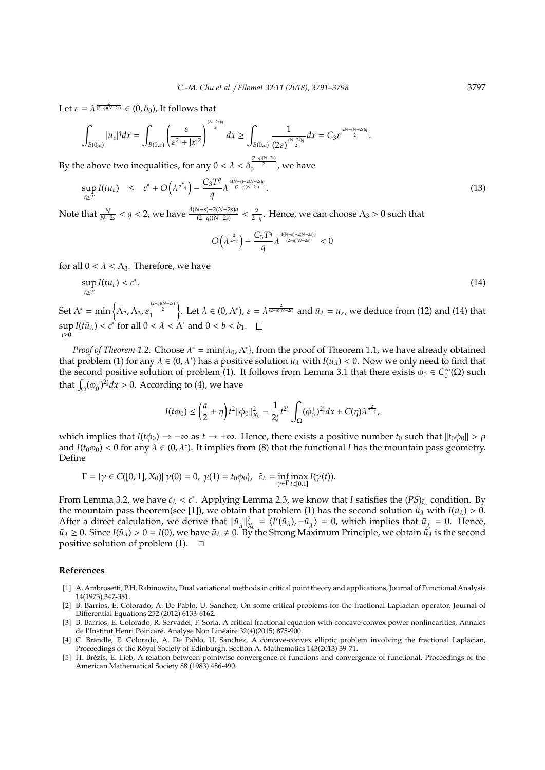Let  $\varepsilon = \lambda^{\frac{2}{(2-q)(N-2s)}} \in (0, \delta_0)$ , It follows that

$$
\int_{B(0,\varepsilon)}|u_{\varepsilon}|^{q}dx=\int_{B(0,\varepsilon)}\left(\frac{\varepsilon}{\varepsilon^{2}+|x|^{2}}\right)^{\frac{(N-2s)q}{2}}dx\geq \int_{B(0,\varepsilon)}\frac{1}{(2\varepsilon)^{\frac{(N-2s)q}{2}}}dx=C_{3}\varepsilon^{\frac{2N-(N-2s)q}{2}}.
$$

By the above two inequalities, for any  $0 < \lambda < \delta_0^{\frac{(2-q)(N-2s)}{2}}$ , we have

$$
\sup_{t \geq T} I(tu_{\varepsilon}) \leq c^* + O\left(\lambda^{\frac{2}{2-q}}\right) - \frac{C_3 T^q}{q} \lambda^{\frac{4(N-s)-2(N-2s)q}{(2-q)(N-2s)}}.
$$
\n(13)

Note that  $\frac{N}{N-2s} < q < 2$ , we have  $\frac{4(N-s)-2(N-2s)q}{(2-q)(N-2s)} < \frac{2}{2-q}$ . Hence, we can choose  $\Lambda_3 > 0$  such that

$$
O\left(\lambda^{\frac{2}{2-q}}\right) - \frac{C_3 T^q}{q} \lambda^{\frac{4(N-s)-2(N-2s)q}{(2-q)(N-2s)}} < 0
$$

for all  $0 < \lambda < \Lambda_3$ . Therefore, we have

$$
\sup_{t\geq T} I(tu_{\varepsilon}) < c^*.\tag{14}
$$

Set  $\Lambda^* = \min \left\{ \Lambda_2, \Lambda_3, \varepsilon_1^{\frac{(2-q)(N-2s)}{2}} \right\}$ Let  $\lambda \in (0, \Lambda^*)$ ,  $\varepsilon = \lambda^{\frac{2}{(2-q)(N-2s)}}$  and  $\bar{u}_{\lambda} = u_{\varepsilon}$ , we deduce from (12) and (14) that  $\sup I(t\bar{u}_\lambda) < c^*$  for all  $0 < \lambda < \Lambda^*$  and  $0 < b < b_1$ . *t*≥0

*Proof of Theorem 1.2.* Choose  $\lambda^* = \min{\{\lambda_0, \Lambda^*\}}$ , from the proof of Theorem 1.1, we have already obtained that problem (1) for any  $\lambda \in (0, \lambda^*)$  has a positive solution  $u_\lambda$  with  $I(u_\lambda) < 0$ . Now we only need to find that the second positive solution of problem (1). It follows from Lemma 3.1 that there exists  $\phi_0 \in C_0^{\infty}$  $_0^{\infty}(\Omega)$  such that  $\int_{\Omega} (\phi_0^+)^{2_s^*} dx > 0$ . According to (4), we have

$$
I(t\phi_0) \leq \left(\frac{a}{2} + \eta\right) t^2 ||\phi_0||^2_{X_0} - \frac{1}{2_s^*} t^{2_s^*} \int_{\Omega} (\phi_0^+)^{2_s^*} dx + C(\eta) \lambda^{\frac{2}{2-q}},
$$

which implies that  $I(t\phi_0) \to -\infty$  as  $t \to +\infty$ . Hence, there exists a positive number  $t_0$  such that  $||t_0\phi_0|| > \rho$ and  $I(t_0\phi_0) < 0$  for any  $\lambda \in (0,\lambda^*)$ . It implies from (8) that the functional *I* has the mountain pass geometry. Define

$$
\Gamma = \{ \gamma \in C([0,1],X_0) | \ \gamma(0)=0, \ \gamma(1)=t_0\phi_0 \}, \ \ \tilde{c}_\lambda = \inf_{\gamma \in \Gamma} \max_{t \in [0,1]} I(\gamma(t)).
$$

From Lemma 3.2, we have  $\tilde{c}_\lambda < c^*$ . Applying Lemma 2.3, we know that *I* satisfies the  $(PS)_{\tilde{c}_\lambda}$  condition. By the mountain pass theorem(see [1]), we obtain that problem (1) has the second solution  $\tilde{u}_{\lambda}$  with  $I(\tilde{u}_{\lambda}) > 0$ . After a direct calculation, we derive that  $\|\tilde{u}_\lambda\|$  $\lambda_{\lambda}^{-} ||_{X_0}^2 = \langle I'(\tilde{u}_\lambda), -\tilde{u}_\lambda^{-} \rangle$  $\langle \vec{u} \rangle = 0$ , which implies that  $\tilde{u}^{\dagger}_{\lambda}$  $\lambda = 0$ . Hence,  $\tilde{u}_\lambda \geq 0$ . Since  $I(\tilde{u}_\lambda) > 0 = I(0)$ , we have  $\tilde{u}_\lambda \neq 0$ . By the Strong Maximum Principle, we obtain  $\tilde{u}_\lambda$  is the second positive solution of problem (1).  $\Box$ 

### **References**

- [1] A. Ambrosetti, P.H. Rabinowitz, Dual variational methods in critical point theory and applications, Journal of Functional Analysis 14(1973) 347-381.
- [2] B. Barrios, E. Colorado, A. De Pablo, U. Sanchez, On some critical problems for the fractional Laplacian operator, Journal of Differential Equations 252 (2012) 6133-6162.
- [3] B. Barrios, E. Colorado, R. Servadei, F. Soria, A critical fractional equation with concave-convex power nonlinearities, Annales de l'Institut Henri Poincaré. Analyse Non Linéaire 32(4)(2015) 875-900.
- [4] C. Brändle, E. Colorado, A. De Pablo, U. Sanchez, A concave-convex elliptic problem involving the fractional Laplacian, Proceedings of the Royal Society of Edinburgh. Section A. Mathematics 143(2013) 39-71.
- [5] H. Brezis, E. Lieb, A relation between pointwise convergence of functions and convergence of functional, Proceedings of the ´ American Mathematical Society 88 (1983) 486-490.